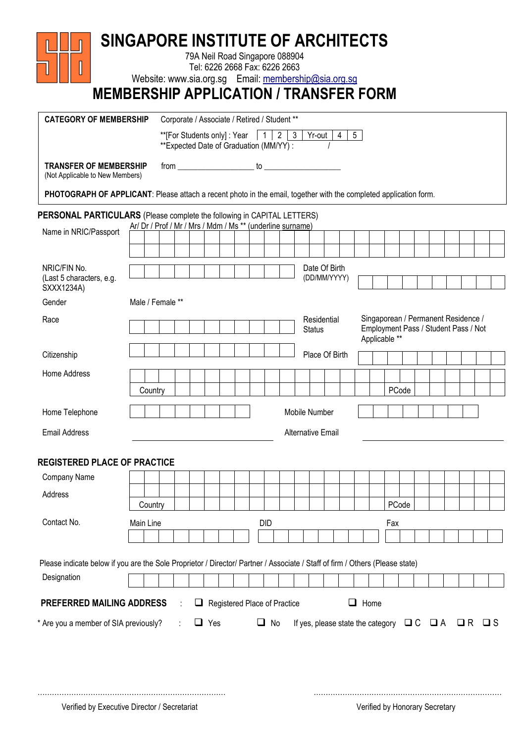| <b>MEMBERSHIP APPLICATION / TRANSFER FORM</b><br><b>CATEGORY OF MEMBERSHIP</b>                                                                                                        | Website: www.sia.org.sg Email: membership@sia.org.sg       |                                                                                                                              |  |        |     |  | Corporate / Associate / Retired / Student **                                                                                                 |   |            |  |                               |  |                                                   |       |  |  |                   |  |
|---------------------------------------------------------------------------------------------------------------------------------------------------------------------------------------|------------------------------------------------------------|------------------------------------------------------------------------------------------------------------------------------|--|--------|-----|--|----------------------------------------------------------------------------------------------------------------------------------------------|---|------------|--|-------------------------------|--|---------------------------------------------------|-------|--|--|-------------------|--|
|                                                                                                                                                                                       |                                                            |                                                                                                                              |  |        |     |  | **[For Students only] : Year $\begin{array}{ c c c c c c c c }\n\hline\n\text{---}\n\end{array}$<br>** Expected Date of Graduation (MM/YY) : |   |            |  | $Yr$ -out $4$                 |  | $5\overline{5}$                                   |       |  |  |                   |  |
| <b>TRANSFER OF MEMBERSHIP</b><br>(Not Applicable to New Members)<br>PHOTOGRAPH OF APPLICANT: Please attach a recent photo in the email, together with the completed application form. |                                                            |                                                                                                                              |  |        |     |  |                                                                                                                                              |   |            |  |                               |  |                                                   |       |  |  |                   |  |
| <b>PERSONAL PARTICULARS</b> (Please complete the following in CAPITAL LETTERS)                                                                                                        |                                                            |                                                                                                                              |  |        |     |  |                                                                                                                                              |   |            |  |                               |  |                                                   |       |  |  |                   |  |
| Name in NRIC/Passport                                                                                                                                                                 | Ar/ Dr / Prof / Mr / Mrs / Mdm / Ms ** (underline surname) |                                                                                                                              |  |        |     |  |                                                                                                                                              |   |            |  |                               |  |                                                   |       |  |  |                   |  |
|                                                                                                                                                                                       |                                                            |                                                                                                                              |  |        |     |  |                                                                                                                                              |   |            |  |                               |  |                                                   |       |  |  |                   |  |
| NRIC/FIN No.<br>(Last 5 characters, e.g.                                                                                                                                              |                                                            |                                                                                                                              |  |        |     |  |                                                                                                                                              |   |            |  | Date Of Birth<br>(DD/MM/YYYY) |  |                                                   |       |  |  |                   |  |
| SXXX1234A)<br>Gender                                                                                                                                                                  | Male / Female **                                           |                                                                                                                              |  |        |     |  |                                                                                                                                              |   |            |  |                               |  |                                                   |       |  |  |                   |  |
| Race                                                                                                                                                                                  |                                                            | Singaporean / Permanent Residence /<br>Residential<br>Employment Pass / Student Pass / Not<br><b>Status</b><br>Applicable ** |  |        |     |  |                                                                                                                                              |   |            |  |                               |  |                                                   |       |  |  |                   |  |
| Citizenship                                                                                                                                                                           |                                                            |                                                                                                                              |  |        |     |  |                                                                                                                                              |   |            |  | Place Of Birth                |  |                                                   |       |  |  |                   |  |
| Home Address                                                                                                                                                                          | Country                                                    |                                                                                                                              |  |        |     |  |                                                                                                                                              |   |            |  |                               |  |                                                   | PCode |  |  |                   |  |
| Home Telephone                                                                                                                                                                        |                                                            |                                                                                                                              |  |        |     |  |                                                                                                                                              |   |            |  | Mobile Number                 |  |                                                   |       |  |  |                   |  |
| <b>Email Address</b>                                                                                                                                                                  |                                                            |                                                                                                                              |  |        |     |  |                                                                                                                                              |   |            |  | <b>Alternative Email</b>      |  |                                                   |       |  |  |                   |  |
| <b>REGISTERED PLACE OF PRACTICE</b>                                                                                                                                                   |                                                            |                                                                                                                              |  |        |     |  |                                                                                                                                              |   |            |  |                               |  |                                                   |       |  |  |                   |  |
| Company Name                                                                                                                                                                          |                                                            |                                                                                                                              |  |        |     |  |                                                                                                                                              |   |            |  |                               |  |                                                   |       |  |  |                   |  |
| Address                                                                                                                                                                               |                                                            |                                                                                                                              |  |        |     |  |                                                                                                                                              |   |            |  |                               |  |                                                   |       |  |  |                   |  |
|                                                                                                                                                                                       | Country                                                    |                                                                                                                              |  |        |     |  |                                                                                                                                              |   |            |  |                               |  |                                                   | PCode |  |  |                   |  |
| Contact No.                                                                                                                                                                           | Main Line                                                  |                                                                                                                              |  |        |     |  |                                                                                                                                              |   | <b>DID</b> |  |                               |  |                                                   | Fax   |  |  |                   |  |
|                                                                                                                                                                                       |                                                            |                                                                                                                              |  |        |     |  |                                                                                                                                              |   |            |  |                               |  |                                                   |       |  |  |                   |  |
| Please indicate below if you are the Sole Proprietor / Director/ Partner / Associate / Staff of firm / Others (Please state)                                                          |                                                            |                                                                                                                              |  |        |     |  |                                                                                                                                              |   |            |  |                               |  |                                                   |       |  |  |                   |  |
| Designation                                                                                                                                                                           |                                                            |                                                                                                                              |  |        |     |  |                                                                                                                                              |   |            |  |                               |  |                                                   |       |  |  |                   |  |
| <b>PREFERRED MAILING ADDRESS</b>                                                                                                                                                      |                                                            |                                                                                                                              |  |        |     |  | Registered Place of Practice                                                                                                                 |   |            |  |                               |  | $\Box$ Home                                       |       |  |  |                   |  |
|                                                                                                                                                                                       | * Are you a member of SIA previously?                      |                                                                                                                              |  | $\Box$ | Yes |  |                                                                                                                                              | ⊔ | No         |  |                               |  | If yes, please state the category $\Box C \Box A$ |       |  |  | $\Box R$ $\Box S$ |  |

…………………………………………………………………… ……………………………………………………………………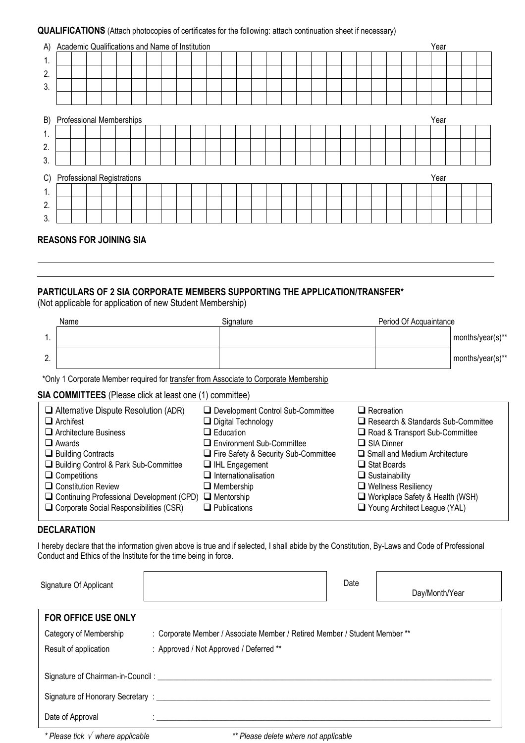## QUALIFICATIONS (Attach photocopies of certificates for the following: attach continuation sheet if necessary)

|                                  | A) Academic Qualifications and Name of Institution |  |  |  |  |  |  |  |  |  |  |      |  |  | Year |  |  |  |  |  |  |  |  |  |
|----------------------------------|----------------------------------------------------|--|--|--|--|--|--|--|--|--|--|------|--|--|------|--|--|--|--|--|--|--|--|--|
| 1.                               |                                                    |  |  |  |  |  |  |  |  |  |  |      |  |  |      |  |  |  |  |  |  |  |  |  |
| 2.                               |                                                    |  |  |  |  |  |  |  |  |  |  |      |  |  |      |  |  |  |  |  |  |  |  |  |
| 3.                               |                                                    |  |  |  |  |  |  |  |  |  |  |      |  |  |      |  |  |  |  |  |  |  |  |  |
|                                  |                                                    |  |  |  |  |  |  |  |  |  |  |      |  |  |      |  |  |  |  |  |  |  |  |  |
|                                  | B) Professional Memberships                        |  |  |  |  |  |  |  |  |  |  |      |  |  | Year |  |  |  |  |  |  |  |  |  |
| 1.                               |                                                    |  |  |  |  |  |  |  |  |  |  |      |  |  |      |  |  |  |  |  |  |  |  |  |
| 2.                               |                                                    |  |  |  |  |  |  |  |  |  |  |      |  |  |      |  |  |  |  |  |  |  |  |  |
| 3.                               |                                                    |  |  |  |  |  |  |  |  |  |  |      |  |  |      |  |  |  |  |  |  |  |  |  |
| Professional Registrations<br>C) |                                                    |  |  |  |  |  |  |  |  |  |  | Year |  |  |      |  |  |  |  |  |  |  |  |  |
| 1.                               |                                                    |  |  |  |  |  |  |  |  |  |  |      |  |  |      |  |  |  |  |  |  |  |  |  |
| 2.                               |                                                    |  |  |  |  |  |  |  |  |  |  |      |  |  |      |  |  |  |  |  |  |  |  |  |
| 3                                |                                                    |  |  |  |  |  |  |  |  |  |  |      |  |  |      |  |  |  |  |  |  |  |  |  |

# REASONS FOR JOINING SIA

## PARTICULARS OF 2 SIA CORPORATE MEMBERS SUPPORTING THE APPLICATION/TRANSFER\*

(Not applicable for application of new Student Membership)

|                    | Name | Signature | Period Of Acquaintance |                  |
|--------------------|------|-----------|------------------------|------------------|
|                    |      |           |                        | months/year(s)** |
| $\sim$<br><u>.</u> |      |           |                        | months/year(s)** |

\*Only 1 Corporate Member required for transfer from Associate to Corporate Membership

# SIA COMMITTEES (Please click at least one (1) committee)

| $\Box$ Alternative Dispute Resolution (ADR)                        | Development Control Sub-Committee    | $\Box$ Recreation                    |
|--------------------------------------------------------------------|--------------------------------------|--------------------------------------|
| $\Box$ Archifest                                                   | $\Box$ Digital Technology            | Research & Standards Sub-Committee   |
| $\Box$ Architecture Business                                       | $\Box$ Education                     | Road & Transport Sub-Committee       |
| $\Box$ Awards                                                      | $\Box$ Environment Sub-Committee     | $\Box$ SIA Dinner                    |
| $\Box$ Building Contracts                                          | Fire Safety & Security Sub-Committee | $\Box$ Small and Medium Architecture |
| Building Control & Park Sub-Committee                              | $\Box$ IHL Engagement                | $\Box$ Stat Boards                   |
| $\Box$ Competitions                                                | $\Box$ Internationalisation          | $\Box$ Sustainability                |
| $\Box$ Constitution Review                                         | $\Box$ Membership                    | $\Box$ Wellness Resiliency           |
| $\Box$ Continuing Professional Development (CPD) $\Box$ Mentorship |                                      | □ Workplace Safety & Health (WSH)    |
| $\Box$ Corporate Social Responsibilities (CSR)                     | $\Box$ Publications                  | Young Architect League (YAL)         |

# **DECLARATION**

I hereby declare that the information given above is true and if selected, I shall abide by the Constitution, By-Laws and Code of Professional Conduct and Ethics of the Institute for the time being in force.

| Signature Of Applicant                           |                                                                            | Date | Day/Month/Year |  |  |  |  |  |
|--------------------------------------------------|----------------------------------------------------------------------------|------|----------------|--|--|--|--|--|
| <b>FOR OFFICE USE ONLY</b>                       |                                                                            |      |                |  |  |  |  |  |
| Category of Membership                           | : Corporate Member / Associate Member / Retired Member / Student Member ** |      |                |  |  |  |  |  |
| Result of application                            | : Approved / Not Approved / Deferred **                                    |      |                |  |  |  |  |  |
| Signature of Chairman-in-Council: ____________   |                                                                            |      |                |  |  |  |  |  |
| Signature of Honorary Secretary : ______________ |                                                                            |      |                |  |  |  |  |  |
| Date of Approval                                 |                                                                            |      |                |  |  |  |  |  |

\* Please tick  $\sqrt{ }$  where applicable  $\sqrt{ }$  where applicable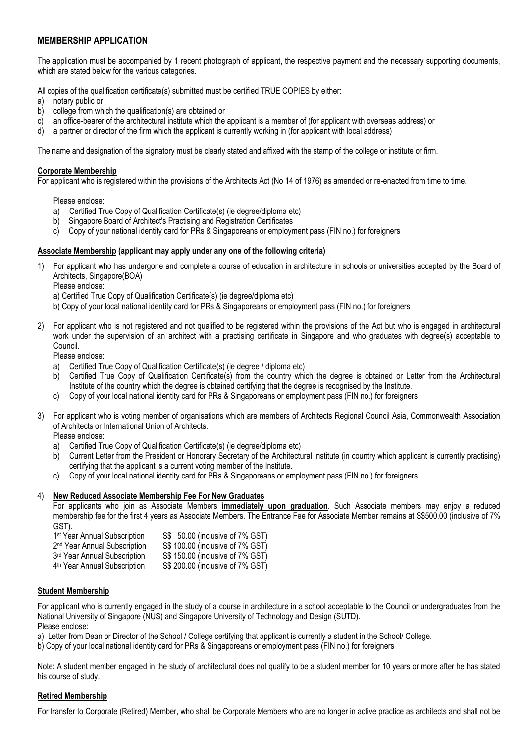# MEMBERSHIP APPLICATION

The application must be accompanied by 1 recent photograph of applicant, the respective payment and the necessary supporting documents, which are stated below for the various categories.

All copies of the qualification certificate(s) submitted must be certified TRUE COPIES by either:

- a) notary public or
- b) college from which the qualification(s) are obtained or
- c) an office-bearer of the architectural institute which the applicant is a member of (for applicant with overseas address) or
- d) a partner or director of the firm which the applicant is currently working in (for applicant with local address)

The name and designation of the signatory must be clearly stated and affixed with the stamp of the college or institute or firm.

#### Corporate Membership

For applicant who is registered within the provisions of the Architects Act (No 14 of 1976) as amended or re-enacted from time to time.

Please enclose:

- a) Certified True Copy of Qualification Certificate(s) (ie degree/diploma etc)
- b) Singapore Board of Architect's Practising and Registration Certificates
- c) Copy of your national identity card for PRs & Singaporeans or employment pass (FIN no.) for foreigners

#### Associate Membership (applicant may apply under any one of the following criteria)

1) For applicant who has undergone and complete a course of education in architecture in schools or universities accepted by the Board of Architects, Singapore(BOA)

Please enclose:

a) Certified True Copy of Qualification Certificate(s) (ie degree/diploma etc)

- b) Copy of your local national identity card for PRs & Singaporeans or employment pass (FIN no.) for foreigners
- 2) For applicant who is not registered and not qualified to be registered within the provisions of the Act but who is engaged in architectural work under the supervision of an architect with a practising certificate in Singapore and who graduates with degree(s) acceptable to Council.

Please enclose:

- a) Certified True Copy of Qualification Certificate(s) (ie degree / diploma etc)
- b) Certified True Copy of Qualification Certificate(s) from the country which the degree is obtained or Letter from the Architectural Institute of the country which the degree is obtained certifying that the degree is recognised by the Institute.
- c) Copy of your local national identity card for PRs & Singaporeans or employment pass (FIN no.) for foreigners
- 3) For applicant who is voting member of organisations which are members of Architects Regional Council Asia, Commonwealth Association of Architects or International Union of Architects.

Please enclose:

- a) Certified True Copy of Qualification Certificate(s) (ie degree/diploma etc)
- b) Current Letter from the President or Honorary Secretary of the Architectural Institute (in country which applicant is currently practising) certifying that the applicant is a current voting member of the Institute.
- c) Copy of your local national identity card for PRs & Singaporeans or employment pass (FIN no.) for foreigners

#### 4) New Reduced Associate Membership Fee For New Graduates

For applicants who join as Associate Members *immediately upon graduation*. Such Associate members may enjoy a reduced membership fee for the first 4 years as Associate Members. The Entrance Fee for Associate Member remains at S\$500.00 (inclusive of 7% GST).

- 1<sup>st</sup> Year Annual Subscription S\$ 50.00 (inclusive of 7% GST)<br>S\$ 100.00 (inclusive of 7% GST) 2 nd Year Annual Subscription S\$ 100.00 (inclusive of 7% GST) 3rd Year Annual Subscription S\$ 150.00 (inclusive of 7% GST)
- 4<sup>th</sup> Year Annual Subscription S\$ 200.00 (inclusive of 7% GST)

#### Student Membership

For applicant who is currently engaged in the study of a course in architecture in a school acceptable to the Council or undergraduates from the National University of Singapore (NUS) and Singapore University of Technology and Design (SUTD).

Please enclose:

a) Letter from Dean or Director of the School / College certifying that applicant is currently a student in the School/ College.

b) Copy of your local national identity card for PRs & Singaporeans or employment pass (FIN no.) for foreigners

Note: A student member engaged in the study of architectural does not qualify to be a student member for 10 years or more after he has stated his course of study.

#### Retired Membership

For transfer to Corporate (Retired) Member, who shall be Corporate Members who are no longer in active practice as architects and shall not be